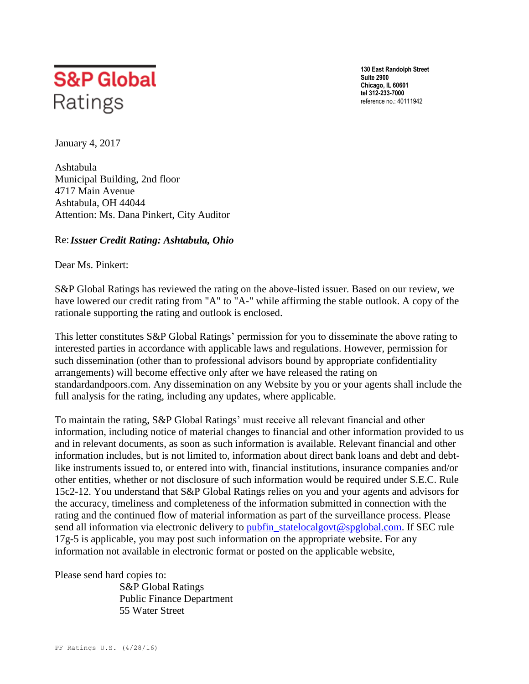

**130 East Randolph Street Suite 2900 Chicago, IL 60601 tel 312-233-7000**  reference no.: 40111942

January 4, 2017

Ashtabula Municipal Building, 2nd floor 4717 Main Avenue Ashtabula, OH 44044 Attention: Ms. Dana Pinkert, City Auditor

## Re:*Issuer Credit Rating: Ashtabula, Ohio*

Dear Ms. Pinkert:

S&P Global Ratings has reviewed the rating on the above-listed issuer. Based on our review, we have lowered our credit rating from "A" to "A-" while affirming the stable outlook. A copy of the rationale supporting the rating and outlook is enclosed.

This letter constitutes S&P Global Ratings' permission for you to disseminate the above rating to interested parties in accordance with applicable laws and regulations. However, permission for such dissemination (other than to professional advisors bound by appropriate confidentiality arrangements) will become effective only after we have released the rating on standardandpoors.com. Any dissemination on any Website by you or your agents shall include the full analysis for the rating, including any updates, where applicable.

To maintain the rating, S&P Global Ratings' must receive all relevant financial and other information, including notice of material changes to financial and other information provided to us and in relevant documents, as soon as such information is available. Relevant financial and other information includes, but is not limited to, information about direct bank loans and debt and debtlike instruments issued to, or entered into with, financial institutions, insurance companies and/or other entities, whether or not disclosure of such information would be required under S.E.C. Rule 15c2-12. You understand that S&P Global Ratings relies on you and your agents and advisors for the accuracy, timeliness and completeness of the information submitted in connection with the rating and the continued flow of material information as part of the surveillance process. Please send all information via electronic delivery to [pubfin\\_statelocalgovt@spglobal.com.](mailto:pubfin_statelocalgovt@spglobal.com) If SEC rule 17g-5 is applicable, you may post such information on the appropriate website. For any information not available in electronic format or posted on the applicable website,

Please send hard copies to:

 S&P Global Ratings Public Finance Department 55 Water Street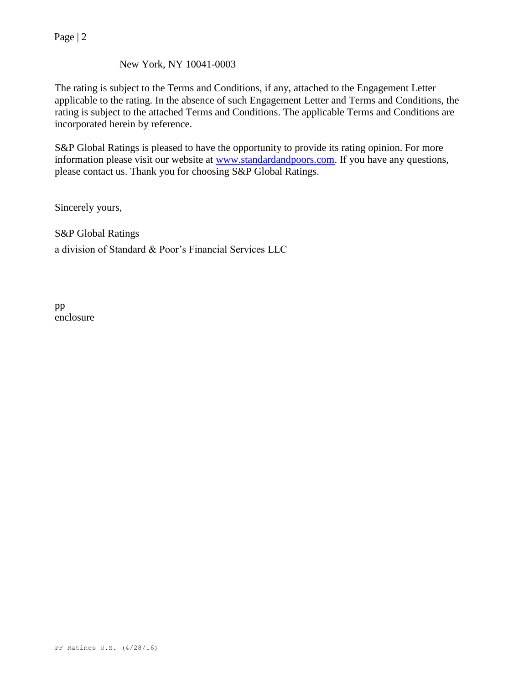Page | 2

## New York, NY 10041-0003

The rating is subject to the Terms and Conditions, if any, attached to the Engagement Letter applicable to the rating. In the absence of such Engagement Letter and Terms and Conditions, the rating is subject to the attached Terms and Conditions. The applicable Terms and Conditions are incorporated herein by reference.

S&P Global Ratings is pleased to have the opportunity to provide its rating opinion. For more information please visit our website at [www.standardandpoors.com.](http://www.standardandpoors.com/) If you have any questions, please contact us. Thank you for choosing S&P Global Ratings.

Sincerely yours,

S&P Global Ratings a division of Standard & Poor's Financial Services LLC

pp enclosure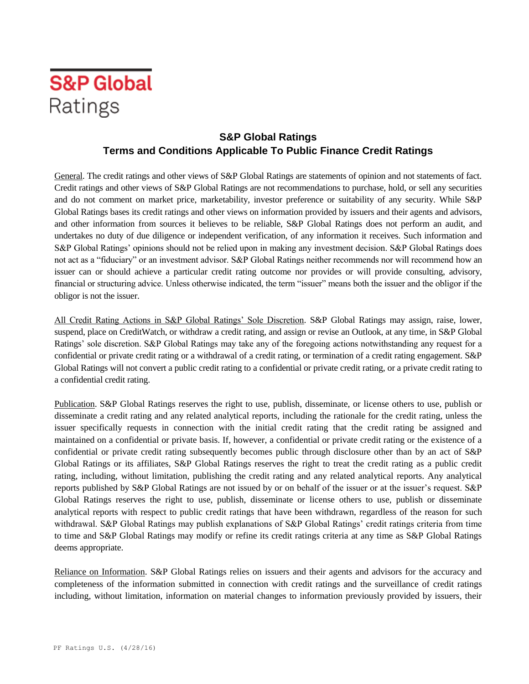

## **S&P Global Ratings Terms and Conditions Applicable To Public Finance Credit Ratings**

General. The credit ratings and other views of S&P Global Ratings are statements of opinion and not statements of fact. Credit ratings and other views of S&P Global Ratings are not recommendations to purchase, hold, or sell any securities and do not comment on market price, marketability, investor preference or suitability of any security. While S&P Global Ratings bases its credit ratings and other views on information provided by issuers and their agents and advisors, and other information from sources it believes to be reliable, S&P Global Ratings does not perform an audit, and undertakes no duty of due diligence or independent verification, of any information it receives. Such information and S&P Global Ratings' opinions should not be relied upon in making any investment decision. S&P Global Ratings does not act as a "fiduciary" or an investment advisor. S&P Global Ratings neither recommends nor will recommend how an issuer can or should achieve a particular credit rating outcome nor provides or will provide consulting, advisory, financial or structuring advice. Unless otherwise indicated, the term "issuer" means both the issuer and the obligor if the obligor is not the issuer.

All Credit Rating Actions in S&P Global Ratings' Sole Discretion. S&P Global Ratings may assign, raise, lower, suspend, place on CreditWatch, or withdraw a credit rating, and assign or revise an Outlook, at any time, in S&P Global Ratings' sole discretion. S&P Global Ratings may take any of the foregoing actions notwithstanding any request for a confidential or private credit rating or a withdrawal of a credit rating, or termination of a credit rating engagement. S&P Global Ratings will not convert a public credit rating to a confidential or private credit rating, or a private credit rating to a confidential credit rating.

Publication. S&P Global Ratings reserves the right to use, publish, disseminate, or license others to use, publish or disseminate a credit rating and any related analytical reports, including the rationale for the credit rating, unless the issuer specifically requests in connection with the initial credit rating that the credit rating be assigned and maintained on a confidential or private basis. If, however, a confidential or private credit rating or the existence of a confidential or private credit rating subsequently becomes public through disclosure other than by an act of S&P Global Ratings or its affiliates, S&P Global Ratings reserves the right to treat the credit rating as a public credit rating, including, without limitation, publishing the credit rating and any related analytical reports. Any analytical reports published by S&P Global Ratings are not issued by or on behalf of the issuer or at the issuer's request. S&P Global Ratings reserves the right to use, publish, disseminate or license others to use, publish or disseminate analytical reports with respect to public credit ratings that have been withdrawn, regardless of the reason for such withdrawal. S&P Global Ratings may publish explanations of S&P Global Ratings' credit ratings criteria from time to time and S&P Global Ratings may modify or refine its credit ratings criteria at any time as S&P Global Ratings deems appropriate.

Reliance on Information. S&P Global Ratings relies on issuers and their agents and advisors for the accuracy and completeness of the information submitted in connection with credit ratings and the surveillance of credit ratings including, without limitation, information on material changes to information previously provided by issuers, their